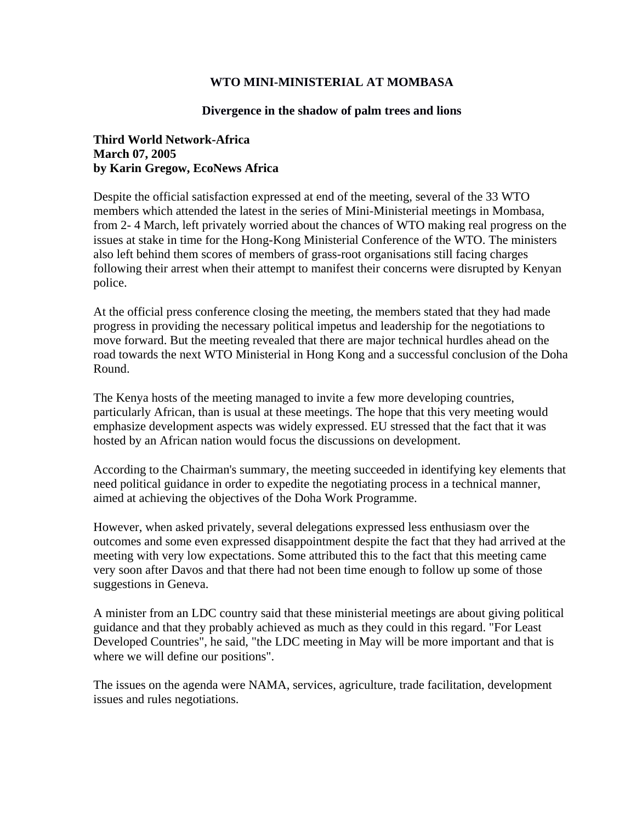## **WTO MINI-MINISTERIAL AT MOMBASA**

## **Divergence in the shadow of palm trees and lions**

## **Third World Network-Africa March 07, 2005 by Karin Gregow, EcoNews Africa**

Despite the official satisfaction expressed at end of the meeting, several of the 33 WTO members which attended the latest in the series of Mini-Ministerial meetings in Mombasa, from 2- 4 March, left privately worried about the chances of WTO making real progress on the issues at stake in time for the Hong-Kong Ministerial Conference of the WTO. The ministers also left behind them scores of members of grass-root organisations still facing charges following their arrest when their attempt to manifest their concerns were disrupted by Kenyan police.

At the official press conference closing the meeting, the members stated that they had made progress in providing the necessary political impetus and leadership for the negotiations to move forward. But the meeting revealed that there are major technical hurdles ahead on the road towards the next WTO Ministerial in Hong Kong and a successful conclusion of the Doha Round.

The Kenya hosts of the meeting managed to invite a few more developing countries, particularly African, than is usual at these meetings. The hope that this very meeting would emphasize development aspects was widely expressed. EU stressed that the fact that it was hosted by an African nation would focus the discussions on development.

According to the Chairman's summary, the meeting succeeded in identifying key elements that need political guidance in order to expedite the negotiating process in a technical manner, aimed at achieving the objectives of the Doha Work Programme.

However, when asked privately, several delegations expressed less enthusiasm over the outcomes and some even expressed disappointment despite the fact that they had arrived at the meeting with very low expectations. Some attributed this to the fact that this meeting came very soon after Davos and that there had not been time enough to follow up some of those suggestions in Geneva.

A minister from an LDC country said that these ministerial meetings are about giving political guidance and that they probably achieved as much as they could in this regard. "For Least Developed Countries", he said, "the LDC meeting in May will be more important and that is where we will define our positions".

The issues on the agenda were NAMA, services, agriculture, trade facilitation, development issues and rules negotiations.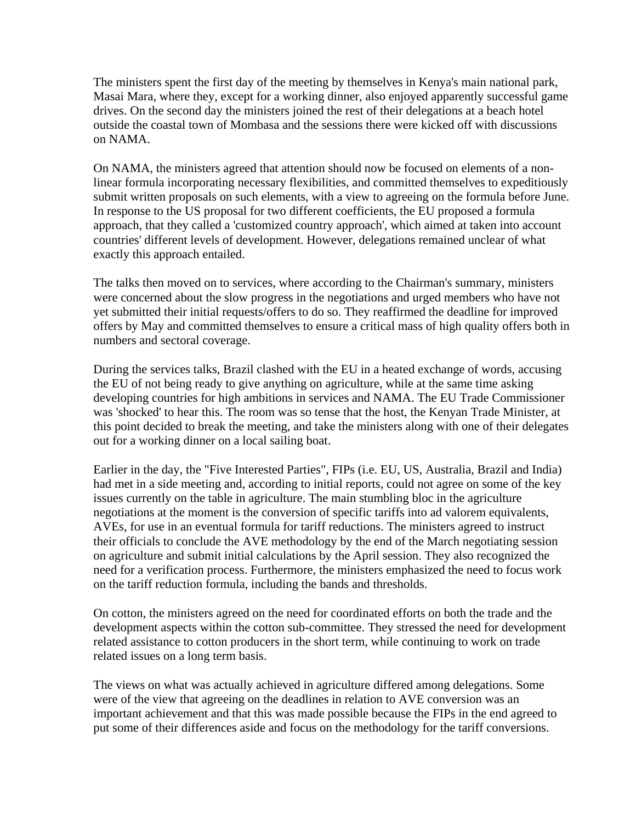The ministers spent the first day of the meeting by themselves in Kenya's main national park, Masai Mara, where they, except for a working dinner, also enjoyed apparently successful game drives. On the second day the ministers joined the rest of their delegations at a beach hotel outside the coastal town of Mombasa and the sessions there were kicked off with discussions on NAMA.

On NAMA, the ministers agreed that attention should now be focused on elements of a nonlinear formula incorporating necessary flexibilities, and committed themselves to expeditiously submit written proposals on such elements, with a view to agreeing on the formula before June. In response to the US proposal for two different coefficients, the EU proposed a formula approach, that they called a 'customized country approach', which aimed at taken into account countries' different levels of development. However, delegations remained unclear of what exactly this approach entailed.

The talks then moved on to services, where according to the Chairman's summary, ministers were concerned about the slow progress in the negotiations and urged members who have not yet submitted their initial requests/offers to do so. They reaffirmed the deadline for improved offers by May and committed themselves to ensure a critical mass of high quality offers both in numbers and sectoral coverage.

During the services talks, Brazil clashed with the EU in a heated exchange of words, accusing the EU of not being ready to give anything on agriculture, while at the same time asking developing countries for high ambitions in services and NAMA. The EU Trade Commissioner was 'shocked' to hear this. The room was so tense that the host, the Kenyan Trade Minister, at this point decided to break the meeting, and take the ministers along with one of their delegates out for a working dinner on a local sailing boat.

Earlier in the day, the "Five Interested Parties", FIPs (i.e. EU, US, Australia, Brazil and India) had met in a side meeting and, according to initial reports, could not agree on some of the key issues currently on the table in agriculture. The main stumbling bloc in the agriculture negotiations at the moment is the conversion of specific tariffs into ad valorem equivalents, AVEs, for use in an eventual formula for tariff reductions. The ministers agreed to instruct their officials to conclude the AVE methodology by the end of the March negotiating session on agriculture and submit initial calculations by the April session. They also recognized the need for a verification process. Furthermore, the ministers emphasized the need to focus work on the tariff reduction formula, including the bands and thresholds.

On cotton, the ministers agreed on the need for coordinated efforts on both the trade and the development aspects within the cotton sub-committee. They stressed the need for development related assistance to cotton producers in the short term, while continuing to work on trade related issues on a long term basis.

The views on what was actually achieved in agriculture differed among delegations. Some were of the view that agreeing on the deadlines in relation to AVE conversion was an important achievement and that this was made possible because the FIPs in the end agreed to put some of their differences aside and focus on the methodology for the tariff conversions.